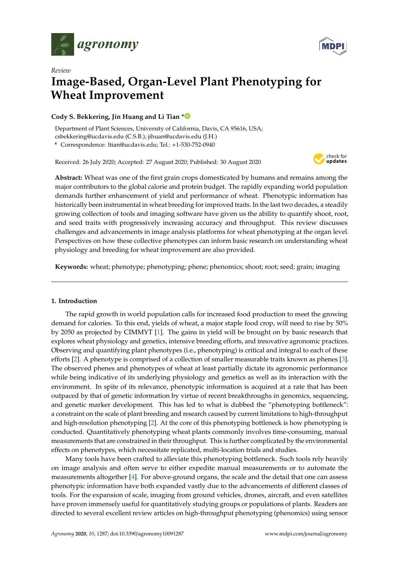



# *Review* **Image-Based, Organ-Level Plant Phenotyping for Wheat Improvement**

# **Cody S. Bekkering, Jin Huang and Li Tian [\\*](https://orcid.org/0000-0001-6461-6072)**

Department of Plant Sciences, University of California, Davis, CA 95616, USA; csbekkering@ucdavis.edu (C.S.B.); jihuan@ucdavis.edu (J.H.)

**\*** Correspondence: ltian@ucdavis.edu; Tel.: +1-530-752-0940

Received: 26 July 2020; Accepted: 27 August 2020; Published: 30 August 2020



**Abstract:** Wheat was one of the first grain crops domesticated by humans and remains among the major contributors to the global calorie and protein budget. The rapidly expanding world population demands further enhancement of yield and performance of wheat. Phenotypic information has historically been instrumental in wheat breeding for improved traits. In the last two decades, a steadily growing collection of tools and imaging software have given us the ability to quantify shoot, root, and seed traits with progressively increasing accuracy and throughput. This review discusses challenges and advancements in image analysis platforms for wheat phenotyping at the organ level. Perspectives on how these collective phenotypes can inform basic research on understanding wheat physiology and breeding for wheat improvement are also provided.

**Keywords:** wheat; phenotype; phenotyping; phene; phenomics; shoot; root; seed; grain; imaging

## **1. Introduction**

The rapid growth in world population calls for increased food production to meet the growing demand for calories. To this end, yields of wheat, a major staple food crop, will need to rise by 50% by 2050 as projected by CIMMYT [\[1\]](#page-10-0). The gains in yield will be brought on by basic research that explores wheat physiology and genetics, intensive breeding efforts, and innovative agronomic practices. Observing and quantifying plant phenotypes (i.e., phenotyping) is critical and integral to each of these efforts [\[2\]](#page-10-1). A phenotype is comprised of a collection of smaller measurable traits known as phenes [\[3\]](#page-10-2). The observed phenes and phenotypes of wheat at least partially dictate its agronomic performance while being indicative of its underlying physiology and genetics as well as its interaction with the environment. In spite of its relevance, phenotypic information is acquired at a rate that has been outpaced by that of genetic information by virtue of recent breakthroughs in genomics, sequencing, and genetic marker development. This has led to what is dubbed the "phenotyping bottleneck": a constraint on the scale of plant breeding and research caused by current limitations to high-throughput and high-resolution phenotyping [\[2\]](#page-10-1). At the core of this phenotyping bottleneck is how phenotyping is conducted. Quantitatively phenotyping wheat plants commonly involves time-consuming, manual measurements that are constrained in their throughput. This is further complicated by the environmental effects on phenotypes, which necessitate replicated, multi-location trials and studies.

Many tools have been crafted to alleviate this phenotyping bottleneck. Such tools rely heavily on image analysis and often serve to either expedite manual measurements or to automate the measurements altogether [\[4\]](#page-10-3). For above-ground organs, the scale and the detail that one can assess phenotypic information have both expanded vastly due to the advancements of different classes of tools. For the expansion of scale, imaging from ground vehicles, drones, aircraft, and even satellites have proven immensely useful for quantitatively studying groups or populations of plants. Readers are directed to several excellent review articles on high-throughput phenotyping (phenomics) using sensor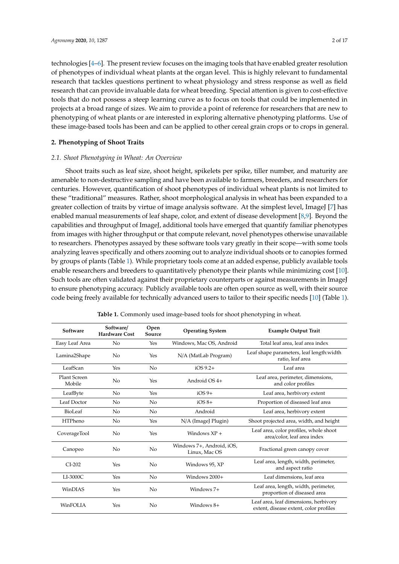technologies [\[4–](#page-10-3)[6\]](#page-10-4). The present review focuses on the imaging tools that have enabled greater resolution of phenotypes of individual wheat plants at the organ level. This is highly relevant to fundamental research that tackles questions pertinent to wheat physiology and stress response as well as field research that can provide invaluable data for wheat breeding. Special attention is given to cost-effective tools that do not possess a steep learning curve as to focus on tools that could be implemented in projects at a broad range of sizes. We aim to provide a point of reference for researchers that are new to phenotyping of wheat plants or are interested in exploring alternative phenotyping platforms. Use of these image-based tools has been and can be applied to other cereal grain crops or to crops in general.

## **2. Phenotyping of Shoot Traits**

## *2.1. Shoot Phenotyping in Wheat: An Overview*

Shoot traits such as leaf size, shoot height, spikelets per spike, tiller number, and maturity are amenable to non-destructive sampling and have been available to farmers, breeders, and researchers for centuries. However, quantification of shoot phenotypes of individual wheat plants is not limited to these "traditional" measures. Rather, shoot morphological analysis in wheat has been expanded to a greater collection of traits by virtue of image analysis software. At the simplest level, ImageJ [\[7\]](#page-10-5) has enabled manual measurements of leaf shape, color, and extent of disease development [\[8](#page-10-6)[,9\]](#page-10-7). Beyond the capabilities and throughput of ImageJ, additional tools have emerged that quantify familiar phenotypes from images with higher throughput or that compute relevant, novel phenotypes otherwise unavailable to researchers. Phenotypes assayed by these software tools vary greatly in their scope—with some tools analyzing leaves specifically and others zooming out to analyze individual shoots or to canopies formed by groups of plants (Table [1\)](#page-1-0). While proprietary tools come at an added expense, publicly available tools enable researchers and breeders to quantitatively phenotype their plants while minimizing cost [\[10\]](#page-10-8). Such tools are often validated against their proprietary counterparts or against measurements in ImageJ to ensure phenotyping accuracy. Publicly available tools are often open source as well, with their source code being freely available for technically advanced users to tailor to their specific needs [\[10\]](#page-10-8) (Table [1\)](#page-1-0).

<span id="page-1-0"></span>

| Software               | Software/<br><b>Hardware Cost</b> | Open<br>Source | <b>Operating System</b>                    | <b>Example Output Trait</b>                                                     |  |
|------------------------|-----------------------------------|----------------|--------------------------------------------|---------------------------------------------------------------------------------|--|
| Easy Leaf Area         | No.                               | Yes            | Windows, Mac OS, Android                   | Total leaf area, leaf area index                                                |  |
| Lamina2Shape           | No                                | Yes            | N/A (MatLab Program)                       | Leaf shape parameters, leaf length:width<br>ratio, leaf area                    |  |
| LeafScan               | Yes                               | No             | $iOS 9.2+$                                 | Leaf area                                                                       |  |
| Plant Screen<br>Mobile | No                                | Yes            | Android $OS$ 4+                            | Leaf area, perimeter, dimensions,<br>and color profiles                         |  |
| LeafByte               | No.                               | Yes            | $iOS 9+$                                   | Leaf area, herbivory extent                                                     |  |
| Leaf Doctor            | No                                | No             | $iOS 8+$                                   | Proportion of diseased leaf area                                                |  |
| BioLeaf                | No.                               | No             | Android                                    | Leaf area, herbivory extent                                                     |  |
| <b>HTPheno</b>         | No.                               | Yes            | N/A (ImageJ Plugin)                        | Shoot projected area, width, and height                                         |  |
| CoverageTool           | N <sub>o</sub>                    | Yes            | Windows $XP +$                             | Leaf area, color profiles, whole shoot<br>area/color, leaf area index           |  |
| Canopeo                | No.                               | No             | Windows 7+, Android, iOS,<br>Linux, Mac OS | Fractional green canopy cover                                                   |  |
| $CI-202$               | Yes                               | No             | Windows 95, XP                             | Leaf area, length, width, perimeter,<br>and aspect ratio                        |  |
| $LI-3000C$             | Yes                               | No             | Windows 2000+                              | Leaf dimensions, leaf area                                                      |  |
| WinDIAS                | Yes                               | No             | Windows $7+$                               | Leaf area, length, width, perimeter,<br>proportion of diseased area             |  |
| WinFOLIA               | Yes                               | No             | Windows $8+$                               | Leaf area, leaf dimensions, herbivory<br>extent, disease extent, color profiles |  |

**Table 1.** Commonly used image-based tools for shoot phenotyping in wheat.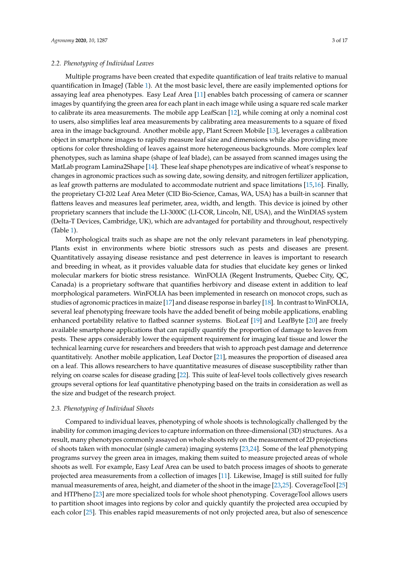Multiple programs have been created that expedite quantification of leaf traits relative to manual quantification in ImageJ (Table [1\)](#page-1-0). At the most basic level, there are easily implemented options for assaying leaf area phenotypes. Easy Leaf Area [\[11\]](#page-10-9) enables batch processing of camera or scanner images by quantifying the green area for each plant in each image while using a square red scale marker to calibrate its area measurements. The mobile app LeafScan [\[12\]](#page-10-10), while coming at only a nominal cost to users, also simplifies leaf area measurements by calibrating area measurements to a square of fixed area in the image background. Another mobile app, Plant Screen Mobile [\[13\]](#page-10-11), leverages a calibration object in smartphone images to rapidly measure leaf size and dimensions while also providing more options for color thresholding of leaves against more heterogeneous backgrounds. More complex leaf phenotypes, such as lamina shape (shape of leaf blade), can be assayed from scanned images using the MatLab program Lamina2Shape [\[14\]](#page-10-12). These leaf shape phenotypes are indicative of wheat's response to changes in agronomic practices such as sowing date, sowing density, and nitrogen fertilizer application, as leaf growth patterns are modulated to accommodate nutrient and space limitations [\[15,](#page-10-13)[16\]](#page-10-14). Finally, the proprietary CI-202 Leaf Area Meter (CID Bio-Science, Camas, WA, USA) has a built-in scanner that flattens leaves and measures leaf perimeter, area, width, and length. This device is joined by other proprietary scanners that include the LI-3000C (LI-COR, Lincoln, NE, USA), and the WinDIAS system (Delta-T Devices, Cambridge, UK), which are advantaged for portability and throughout, respectively (Table [1\)](#page-1-0).

Morphological traits such as shape are not the only relevant parameters in leaf phenotyping. Plants exist in environments where biotic stressors such as pests and diseases are present. Quantitatively assaying disease resistance and pest deterrence in leaves is important to research and breeding in wheat, as it provides valuable data for studies that elucidate key genes or linked molecular markers for biotic stress resistance. WinFOLIA (Regent Instruments, Quebec City, QC, Canada) is a proprietary software that quantifies herbivory and disease extent in addition to leaf morphological parameters. WinFOLIA has been implemented in research on monocot crops, such as studies of agronomic practices in maize [\[17\]](#page-10-15) and disease response in barley [\[18\]](#page-10-16). In contrast to WinFOLIA, several leaf phenotyping freeware tools have the added benefit of being mobile applications, enabling enhanced portability relative to flatbed scanner systems. BioLeaf [\[19\]](#page-11-0) and LeafByte [\[20\]](#page-11-1) are freely available smartphone applications that can rapidly quantify the proportion of damage to leaves from pests. These apps considerably lower the equipment requirement for imaging leaf tissue and lower the technical learning curve for researchers and breeders that wish to approach pest damage and deterrence quantitatively. Another mobile application, Leaf Doctor [\[21\]](#page-11-2), measures the proportion of diseased area on a leaf. This allows researchers to have quantitative measures of disease susceptibility rather than relying on coarse scales for disease grading [\[22\]](#page-11-3). This suite of leaf-level tools collectively gives research groups several options for leaf quantitative phenotyping based on the traits in consideration as well as the size and budget of the research project.

## *2.3. Phenotyping of Individual Shoots*

Compared to individual leaves, phenotyping of whole shoots is technologically challenged by the inability for common imaging devices to capture information on three-dimensional (3D) structures. As a result, many phenotypes commonly assayed on whole shoots rely on the measurement of 2D projections of shoots taken with monocular (single camera) imaging systems [\[23](#page-11-4)[,24\]](#page-11-5). Some of the leaf phenotyping programs survey the green area in images, making them suited to measure projected areas of whole shoots as well. For example, Easy Leaf Area can be used to batch process images of shoots to generate projected area measurements from a collection of images [\[11\]](#page-10-9). Likewise, ImageJ is still suited for fully manual measurements of area, height, and diameter of the shoot in the image [\[23,](#page-11-4)[25\]](#page-11-6). CoverageTool [\[25\]](#page-11-6) and HTPheno [\[23\]](#page-11-4) are more specialized tools for whole shoot phenotyping. CoverageTool allows users to partition shoot images into regions by color and quickly quantify the projected area occupied by each color [\[25\]](#page-11-6). This enables rapid measurements of not only projected area, but also of senescence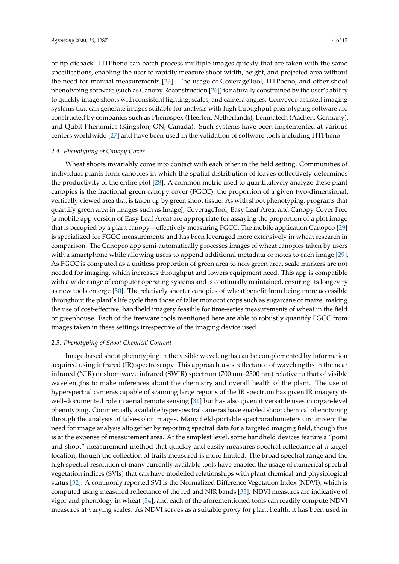or tip dieback. HTPheno can batch process multiple images quickly that are taken with the same specifications, enabling the user to rapidly measure shoot width, height, and projected area without the need for manual measurements [\[23\]](#page-11-4). The usage of CoverageTool, HTPheno, and other shoot phenotyping software (such as Canopy Reconstruction [\[26\]](#page-11-7)) is naturally constrained by the user's ability to quickly image shoots with consistent lighting, scales, and camera angles. Conveyor-assisted imaging systems that can generate images suitable for analysis with high throughput phenotyping software are constructed by companies such as Phenospex (Heerlen, Netherlands), Lemnatech (Aachen, Germany), and Qubit Phenomics (Kingston, ON, Canada). Such systems have been implemented at various centers worldwide [\[27\]](#page-11-8) and have been used in the validation of software tools including HTPheno.

## *2.4. Phenotyping of Canopy Cover*

Wheat shoots invariably come into contact with each other in the field setting. Communities of individual plants form canopies in which the spatial distribution of leaves collectively determines the productivity of the entire plot [\[28\]](#page-11-9). A common metric used to quantitatively analyze these plant canopies is the fractional green canopy cover (FGCC): the proportion of a given two-dimensional, vertically viewed area that is taken up by green shoot tissue. As with shoot phenotyping, programs that quantify green area in images such as ImageJ, CoverageTool, Easy Leaf Area, and Canopy Cover Free (a mobile app version of Easy Leaf Area) are appropriate for assaying the proportion of a plot image that is occupied by a plant canopy—effectively measuring FGCC. The mobile application Canopeo [\[29\]](#page-11-10) is specialized for FGCC measurements and has been leveraged more extensively in wheat research in comparison. The Canopeo app semi-automatically processes images of wheat canopies taken by users with a smartphone while allowing users to append additional metadata or notes to each image [\[29\]](#page-11-10). As FGCC is computed as a unitless proportion of green area to non-green area, scale markers are not needed for imaging, which increases throughput and lowers equipment need. This app is compatible with a wide range of computer operating systems and is continually maintained, ensuring its longevity as new tools emerge [\[30\]](#page-11-11). The relatively shorter canopies of wheat benefit from being more accessible throughout the plant's life cycle than those of taller monocot crops such as sugarcane or maize, making the use of cost-effective, handheld imagery feasible for time-series measurements of wheat in the field or greenhouse. Each of the freeware tools mentioned here are able to robustly quantify FGCC from images taken in these settings irrespective of the imaging device used.

## *2.5. Phenotyping of Shoot Chemical Content*

Image-based shoot phenotyping in the visible wavelengths can be complemented by information acquired using infrared (IR) spectroscopy. This approach uses reflectance of wavelengths in the near infrared (NIR) or short-wave infrared (SWIR) spectrum (700 nm–2500 nm) relative to that of visible wavelengths to make inferences about the chemistry and overall health of the plant. The use of hyperspectral cameras capable of scanning large regions of the IR spectrum has given IR imagery its well-documented role in aerial remote sensing [\[31\]](#page-11-12) but has also given it versatile uses in organ-level phenotyping. Commercially available hyperspectral cameras have enabled shoot chemical phenotyping through the analysis of false-color images. Many field-portable spectroradiometers circumvent the need for image analysis altogether by reporting spectral data for a targeted imaging field, though this is at the expense of measurement area. At the simplest level, some handheld devices feature a "point and shoot" measurement method that quickly and easily measures spectral reflectance at a target location, though the collection of traits measured is more limited. The broad spectral range and the high spectral resolution of many currently available tools have enabled the usage of numerical spectral vegetation indices (SVIs) that can have modelled relationships with plant chemical and physiological status [\[32\]](#page-11-13). A commonly reported SVI is the Normalized Difference Vegetation Index (NDVI), which is computed using measured reflectance of the red and NIR bands [\[33\]](#page-11-14). NDVI measures are indicative of vigor and phenology in wheat [\[34\]](#page-11-15), and each of the aforementioned tools can readily compute NDVI measures at varying scales. As NDVI serves as a suitable proxy for plant health, it has been used in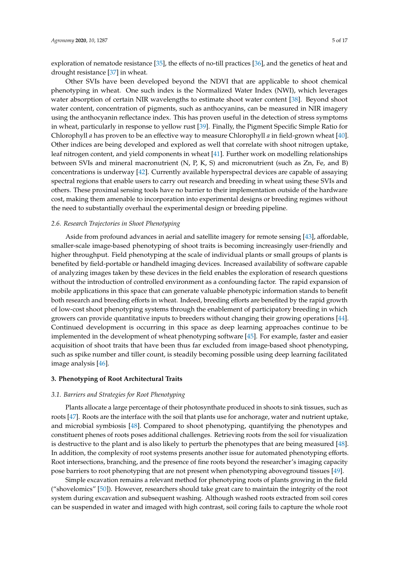exploration of nematode resistance [\[35\]](#page-11-16), the effects of no-till practices [\[36\]](#page-11-17), and the genetics of heat and drought resistance [\[37\]](#page-11-18) in wheat.

Other SVIs have been developed beyond the NDVI that are applicable to shoot chemical phenotyping in wheat. One such index is the Normalized Water Index (NWI), which leverages water absorption of certain NIR wavelengths to estimate shoot water content [\[38\]](#page-11-19). Beyond shoot water content, concentration of pigments, such as anthocyanins, can be measured in NIR imagery using the anthocyanin reflectance index. This has proven useful in the detection of stress symptoms in wheat, particularly in response to yellow rust [\[39\]](#page-11-20). Finally, the Pigment Specific Simple Ratio for Chlorophyll *a* has proven to be an effective way to measure Chlorophyll *a* in field-grown wheat [\[40\]](#page-11-21). Other indices are being developed and explored as well that correlate with shoot nitrogen uptake, leaf nitrogen content, and yield components in wheat [\[41\]](#page-11-22). Further work on modelling relationships between SVIs and mineral macronutrient (N, P, K, S) and micronutrient (such as Zn, Fe, and B) concentrations is underway [\[42\]](#page-12-0). Currently available hyperspectral devices are capable of assaying spectral regions that enable users to carry out research and breeding in wheat using these SVIs and others. These proximal sensing tools have no barrier to their implementation outside of the hardware cost, making them amenable to incorporation into experimental designs or breeding regimes without the need to substantially overhaul the experimental design or breeding pipeline.

## *2.6. Research Trajectories in Shoot Phenotyping*

Aside from profound advances in aerial and satellite imagery for remote sensing [\[43\]](#page-12-1), affordable, smaller-scale image-based phenotyping of shoot traits is becoming increasingly user-friendly and higher throughput. Field phenotyping at the scale of individual plants or small groups of plants is benefited by field-portable or handheld imaging devices. Increased availability of software capable of analyzing images taken by these devices in the field enables the exploration of research questions without the introduction of controlled environment as a confounding factor. The rapid expansion of mobile applications in this space that can generate valuable phenotypic information stands to benefit both research and breeding efforts in wheat. Indeed, breeding efforts are benefited by the rapid growth of low-cost shoot phenotyping systems through the enablement of participatory breeding in which growers can provide quantitative inputs to breeders without changing their growing operations [\[44\]](#page-12-2). Continued development is occurring in this space as deep learning approaches continue to be implemented in the development of wheat phenotyping software [\[45\]](#page-12-3). For example, faster and easier acquisition of shoot traits that have been thus far excluded from image-based shoot phenotyping, such as spike number and tiller count, is steadily becoming possible using deep learning facilitated image analysis [\[46\]](#page-12-4).

#### **3. Phenotyping of Root Architectural Traits**

#### *3.1. Barriers and Strategies for Root Phenotyping*

Plants allocate a large percentage of their photosynthate produced in shoots to sink tissues, such as roots [\[47\]](#page-12-5). Roots are the interface with the soil that plants use for anchorage, water and nutrient uptake, and microbial symbiosis [\[48\]](#page-12-6). Compared to shoot phenotyping, quantifying the phenotypes and constituent phenes of roots poses additional challenges. Retrieving roots from the soil for visualization is destructive to the plant and is also likely to perturb the phenotypes that are being measured [\[48\]](#page-12-6). In addition, the complexity of root systems presents another issue for automated phenotyping efforts. Root intersections, branching, and the presence of fine roots beyond the researcher's imaging capacity pose barriers to root phenotyping that are not present when phenotyping aboveground tissues [\[49\]](#page-12-7).

Simple excavation remains a relevant method for phenotyping roots of plants growing in the field ("shovelomics" [\[50\]](#page-12-8)). However, researchers should take great care to maintain the integrity of the root system during excavation and subsequent washing. Although washed roots extracted from soil cores can be suspended in water and imaged with high contrast, soil coring fails to capture the whole root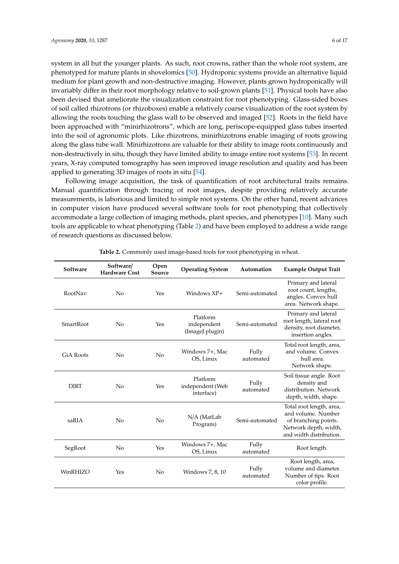system in all but the younger plants. As such, root crowns, rather than the whole root system, are phenotyped for mature plants in shovelomics [\[50\]](#page-12-8). Hydroponic systems provide an alternative liquid medium for plant growth and non-destructive imaging. However, plants grown hydroponically will invariably differ in their root morphology relative to soil-grown plants [\[51\]](#page-12-9). Physical tools have also been devised that ameliorate the visualization constraint for root phenotyping. Glass-sided boxes of soil called rhizotrons (or rhizoboxes) enable a relatively coarse visualization of the root system by allowing the roots touching the glass wall to be observed and imaged [\[52\]](#page-12-10). Roots in the field have been approached with "minirhizotrons", which are long, periscope-equipped glass tubes inserted into the soil of agronomic plots. Like rhizotrons, minirhizotrons enable imaging of roots growing along the glass tube wall. Minirhizotrons are valuable for their ability to image roots continuously and non-destructively in situ, though they have limited ability to image entire root systems [\[53\]](#page-12-11). In recent years, X-ray computed tomography has seen improved image resolution and quality and has been applied to generating 3D images of roots in situ [\[54\]](#page-12-12).

Following image acquisition, the task of quantification of root architectural traits remains. Manual quantification through tracing of root images, despite providing relatively accurate measurements, is laborious and limited to simple root systems. On the other hand, recent advances in computer vision have produced several software tools for root phenotyping that collectively accommodate a large collection of imaging methods, plant species, and phenotypes [\[10\]](#page-10-8). Many such tools are applicable to wheat phenotyping (Table [2\)](#page-5-0) and have been employed to address a wide range of research questions as discussed below.

<span id="page-5-0"></span>

| Software         | Software/<br><b>Hardware Cost</b> | Open<br>Source | <b>Operating System</b>                    | Automation         | <b>Example Output Trait</b>                                                                                                |
|------------------|-----------------------------------|----------------|--------------------------------------------|--------------------|----------------------------------------------------------------------------------------------------------------------------|
| RootNav          | No                                | Yes            | Windows $XP+$                              | Semi-automated     | Primary and lateral<br>root count, lengths,<br>angles. Convex hull<br>area. Network shape.                                 |
| SmartRoot        | N <sub>o</sub>                    | Yes            | Platform<br>independent<br>(ImageJ plugin) | Semi-automated     | Primary and lateral<br>root length, lateral root<br>density, root diameter,<br>insertion angles.                           |
| <b>GiA Roots</b> | No                                | No             | Windows 7+, Mac<br>OS, Linux               | Fully<br>automated | Total root length, area,<br>and volume. Convex<br>hull area.<br>Network shape.                                             |
| <b>DIRT</b>      | N <sub>o</sub>                    | Yes            | Platform<br>independent (Web<br>interface) | Fully<br>automated | Soil tissue angle. Root<br>density and<br>distribution. Network<br>depth, width, shape.                                    |
| saRIA            | No                                | No             | N/A (MatLab<br>Program)                    | Semi-automated     | Total root length, area,<br>and volume. Number<br>of branching points.<br>Network depth, width,<br>and width distribution. |
| SegRoot          | N <sub>o</sub>                    | Yes            | Windows 7+, Mac<br>OS, Linux               | Fully<br>automated | Root length.                                                                                                               |
| WinRHIZO         | Yes                               | N <sub>0</sub> | Windows 7, 8, 10                           | Fully<br>automated | Root length, area,<br>volume and diameter.<br>Number of tips. Root<br>color profile.                                       |

**Table 2.** Commonly used image-based tools for root phenotyping in wheat.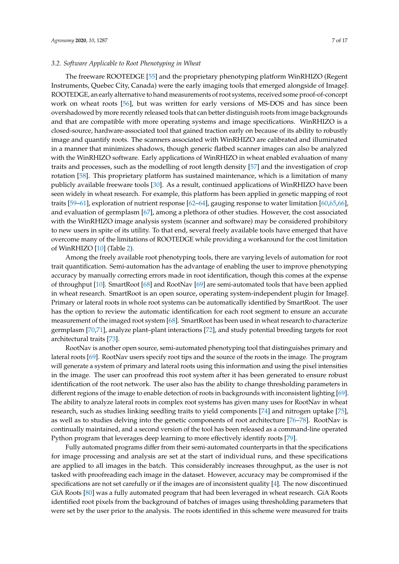of WinRHIZO [\[10\]](#page-10-8) (Table [2\)](#page-5-0).

## *3.2. Software Applicable to Root Phenotyping in Wheat*

The freeware ROOTEDGE [\[55\]](#page-12-13) and the proprietary phenotyping platform WinRHIZO (Regent Instruments, Quebec City, Canada) were the early imaging tools that emerged alongside of ImageJ. ROOTEDGE, an early alternative to hand measurements of root systems, received some proof-of-concept work on wheat roots [\[56\]](#page-12-14), but was written for early versions of MS-DOS and has since been overshadowed by more recently released tools that can better distinguish roots from image backgrounds and that are compatible with more operating systems and image specifications. WinRHIZO is a closed-source, hardware-associated tool that gained traction early on because of its ability to robustly image and quantify roots. The scanners associated with WinRHIZO are calibrated and illuminated in a manner that minimizes shadows, though generic flatbed scanner images can also be analyzed with the WinRHIZO software. Early applications of WinRHIZO in wheat enabled evaluation of many traits and processes, such as the modelling of root length density [\[57\]](#page-12-15) and the investigation of crop rotation [\[58\]](#page-12-16). This proprietary platform has sustained maintenance, which is a limitation of many publicly available freeware tools [\[30\]](#page-11-11). As a result, continued applications of WinRHIZO have been seen widely in wheat research. For example, this platform has been applied in genetic mapping of root traits [\[59](#page-12-17)[–61\]](#page-12-18), exploration of nutrient response [\[62–](#page-12-19)[64\]](#page-12-20), gauging response to water limitation [\[60](#page-12-21)[,65](#page-12-22)[,66\]](#page-13-0), and evaluation of germplasm [\[67\]](#page-13-1), among a plethora of other studies. However, the cost associated with the WinRHIZO image analysis system (scanner and software) may be considered prohibitory to new users in spite of its utility. To that end, several freely available tools have emerged that have overcome many of the limitations of ROOTEDGE while providing a workaround for the cost limitation

Among the freely available root phenotyping tools, there are varying levels of automation for root trait quantification. Semi-automation has the advantage of enabling the user to improve phenotyping accuracy by manually correcting errors made in root identification, though this comes at the expense of throughput [\[10\]](#page-10-8). SmartRoot [\[68\]](#page-13-2) and RootNav [\[69\]](#page-13-3) are semi-automated tools that have been applied in wheat research. SmartRoot is an open source, operating system-independent plugin for ImageJ. Primary or lateral roots in whole root systems can be automatically identified by SmartRoot. The user has the option to review the automatic identification for each root segment to ensure an accurate measurement of the imaged root system [\[68\]](#page-13-2). SmartRoot has been used in wheat research to characterize germplasm [\[70](#page-13-4)[,71\]](#page-13-5), analyze plant–plant interactions [\[72\]](#page-13-6), and study potential breeding targets for root architectural traits [\[73\]](#page-13-7).

RootNav is another open source, semi-automated phenotyping tool that distinguishes primary and lateral roots [\[69\]](#page-13-3). RootNav users specify root tips and the source of the roots in the image. The program will generate a system of primary and lateral roots using this information and using the pixel intensities in the image. The user can proofread this root system after it has been generated to ensure robust identification of the root network. The user also has the ability to change thresholding parameters in different regions of the image to enable detection of roots in backgrounds with inconsistent lighting [\[69\]](#page-13-3). The ability to analyze lateral roots in complex root systems has given many uses for RootNav in wheat research, such as studies linking seedling traits to yield components [\[74\]](#page-13-8) and nitrogen uptake [\[75\]](#page-13-9), as well as to studies delving into the genetic components of root architecture [\[76–](#page-13-10)[78\]](#page-13-11). RootNav is continually maintained, and a second version of the tool has been released as a command-line operated Python program that leverages deep learning to more effectively identify roots [\[79\]](#page-13-12).

Fully automated programs differ from their semi-automated counterparts in that the specifications for image processing and analysis are set at the start of individual runs, and these specifications are applied to all images in the batch. This considerably increases throughput, as the user is not tasked with proofreading each image in the dataset. However, accuracy may be compromised if the specifications are not set carefully or if the images are of inconsistent quality [\[4\]](#page-10-3). The now discontinued GiA Roots [\[80\]](#page-13-13) was a fully automated program that had been leveraged in wheat research. GiA Roots identified root pixels from the background of batches of images using thresholding parameters that were set by the user prior to the analysis. The roots identified in this scheme were measured for traits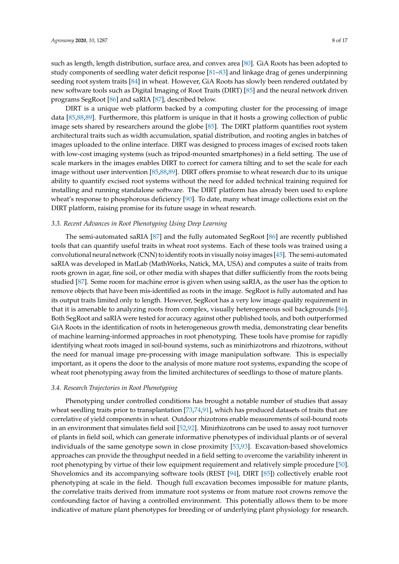such as length, length distribution, surface area, and convex area [\[80\]](#page-13-13). GiA Roots has been adopted to study components of seedling water deficit response [\[81–](#page-13-14)[83\]](#page-13-15) and linkage drag of genes underpinning seeding root system traits [\[84\]](#page-13-16) in wheat. However, GiA Roots has slowly been rendered outdated by new software tools such as Digital Imaging of Root Traits (DIRT) [\[85\]](#page-14-0) and the neural network driven programs SegRoot [\[86\]](#page-14-1) and saRIA [\[87\]](#page-14-2), described below.

DIRT is a unique web platform backed by a computing cluster for the processing of image data [\[85](#page-14-0)[,88](#page-14-3)[,89\]](#page-14-4). Furthermore, this platform is unique in that it hosts a growing collection of public image sets shared by researchers around the globe [\[85\]](#page-14-0). The DIRT platform quantifies root system architectural traits such as width accumulation, spatial distribution, and rooting angles in batches of images uploaded to the online interface. DIRT was designed to process images of excised roots taken with low-cost imaging systems (such as tripod-mounted smartphones) in a field setting. The use of scale markers in the images enables DIRT to correct for camera tilting and to set the scale for each image without user intervention [\[85](#page-14-0)[,88](#page-14-3)[,89\]](#page-14-4). DIRT offers promise to wheat research due to its unique ability to quantify excised root systems without the need for added technical training required for installing and running standalone software. The DIRT platform has already been used to explore wheat's response to phosphorous deficiency [\[90\]](#page-14-5). To date, many wheat image collections exist on the DIRT platform, raising promise for its future usage in wheat research.

## *3.3. Recent Advances in Root Phenotyping Using Deep Learning*

The semi-automated saRIA [\[87\]](#page-14-2) and the fully automated SegRoot [\[86\]](#page-14-1) are recently published tools that can quantify useful traits in wheat root systems. Each of these tools was trained using a convolutional neural network (CNN) to identify roots in visually noisy images [\[45\]](#page-12-3). The semi-automated saRIA was developed in MatLab (MathWorks, Natick, MA, USA) and computes a suite of traits from roots grown in agar, fine soil, or other media with shapes that differ sufficiently from the roots being studied [\[87\]](#page-14-2). Some room for machine error is given when using saRIA, as the user has the option to remove objects that have been mis-identified as roots in the image. SegRoot is fully automated and has its output traits limited only to length. However, SegRoot has a very low image quality requirement in that it is amenable to analyzing roots from complex, visually heterogeneous soil backgrounds [\[86\]](#page-14-1). Both SegRoot and saRIA were tested for accuracy against other published tools, and both outperformed GiA Roots in the identification of roots in heterogeneous growth media, demonstrating clear benefits of machine learning-informed approaches in root phenotyping. These tools have promise for rapidly identifying wheat roots imaged in soil-bound systems, such as minirhizotrons and rhizotrons, without the need for manual image pre-processing with image manipulation software. This is especially important, as it opens the door to the analysis of more mature root systems, expanding the scope of wheat root phenotyping away from the limited architectures of seedlings to those of mature plants.

#### *3.4. Research Trajectories in Root Phenotyping*

Phenotyping under controlled conditions has brought a notable number of studies that assay wheat seedling traits prior to transplantation [\[73](#page-13-7)[,74](#page-13-8)[,91\]](#page-14-6), which has produced datasets of traits that are correlative of yield components in wheat. Outdoor rhizotrons enable measurements of soil-bound roots in an environment that simulates field soil [\[52](#page-12-10)[,92\]](#page-14-7). Minirhizotrons can be used to assay root turnover of plants in field soil, which can generate informative phenotypes of individual plants or of several individuals of the same genotype sown in close proximity [\[53,](#page-12-11)[93\]](#page-14-8). Excavation-based shovelomics approaches can provide the throughput needed in a field setting to overcome the variability inherent in root phenotyping by virtue of their low equipment requirement and relatively simple procedure [\[50\]](#page-12-8). Shovelomics and its accompanying software tools (REST [\[94\]](#page-14-9), DIRT [\[85\]](#page-14-0)) collectively enable root phenotyping at scale in the field. Though full excavation becomes impossible for mature plants, the correlative traits derived from immature root systems or from mature root crowns remove the confounding factor of having a controlled environment. This potentially allows them to be more indicative of mature plant phenotypes for breeding or of underlying plant physiology for research.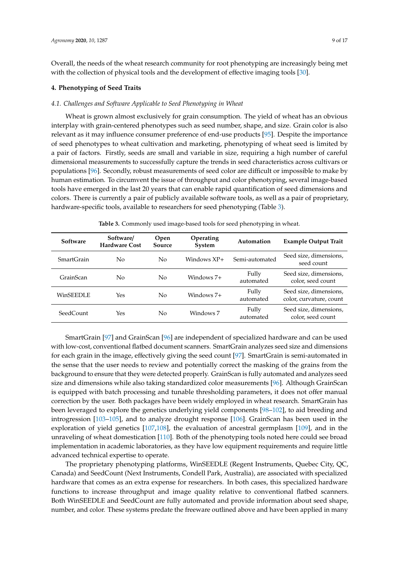Overall, the needs of the wheat research community for root phenotyping are increasingly being met with the collection of physical tools and the development of effective imaging tools [\[30\]](#page-11-11).

## **4. Phenotyping of Seed Traits**

### *4.1. Challenges and Software Applicable to Seed Phenotyping in Wheat*

Wheat is grown almost exclusively for grain consumption. The yield of wheat has an obvious interplay with grain-centered phenotypes such as seed number, shape, and size. Grain color is also relevant as it may influence consumer preference of end-use products [\[95\]](#page-14-10). Despite the importance of seed phenotypes to wheat cultivation and marketing, phenotyping of wheat seed is limited by a pair of factors. Firstly, seeds are small and variable in size, requiring a high number of careful dimensional measurements to successfully capture the trends in seed characteristics across cultivars or populations [\[96\]](#page-14-11). Secondly, robust measurements of seed color are difficult or impossible to make by human estimation. To circumvent the issue of throughput and color phenotyping, several image-based tools have emerged in the last 20 years that can enable rapid quantification of seed dimensions and colors. There is currently a pair of publicly available software tools, as well as a pair of proprietary, hardware-specific tools, available to researchers for seed phenotyping (Table [3\)](#page-8-0).

<span id="page-8-0"></span>

| Software          | Software/<br><b>Hardware Cost</b> | <b>Open</b><br>Source | Operating<br>System | Automation         | <b>Example Output Trait</b>                       |
|-------------------|-----------------------------------|-----------------------|---------------------|--------------------|---------------------------------------------------|
| <b>SmartGrain</b> | No                                | No                    | Windows $XP+$       | Semi-automated     | Seed size, dimensions,<br>seed count              |
| GrainScan         | No                                | No                    | Windows 7+          | Fully<br>automated | Seed size, dimensions,<br>color, seed count       |
| WinSEEDLE         | Yes                               | No                    | Windows 7+          | Fully<br>automated | Seed size, dimensions,<br>color, curvature, count |
| SeedCount         | Yes                               | No                    | Windows 7           | Fully<br>automated | Seed size, dimensions,<br>color, seed count       |

**Table 3.** Commonly used image-based tools for seed phenotyping in wheat.

SmartGrain [\[97\]](#page-14-12) and GrainScan [\[96\]](#page-14-11) are independent of specialized hardware and can be used with low-cost, conventional flatbed document scanners. SmartGrain analyzes seed size and dimensions for each grain in the image, effectively giving the seed count [\[97\]](#page-14-12). SmartGrain is semi-automated in the sense that the user needs to review and potentially correct the masking of the grains from the background to ensure that they were detected properly. GrainScan is fully automated and analyzes seed size and dimensions while also taking standardized color measurements [\[96\]](#page-14-11). Although GrainScan is equipped with batch processing and tunable thresholding parameters, it does not offer manual correction by the user. Both packages have been widely employed in wheat research. SmartGrain has been leveraged to explore the genetics underlying yield components [\[98](#page-14-13)[–102\]](#page-14-14), to aid breeding and introgression [\[103–](#page-14-15)[105\]](#page-14-16), and to analyze drought response [\[106\]](#page-15-0). GrainScan has been used in the exploration of yield genetics [\[107,](#page-15-1)[108\]](#page-15-2), the evaluation of ancestral germplasm [\[109\]](#page-15-3), and in the unraveling of wheat domestication [\[110\]](#page-15-4). Both of the phenotyping tools noted here could see broad implementation in academic laboratories, as they have low equipment requirements and require little advanced technical expertise to operate.

The proprietary phenotyping platforms, WinSEEDLE (Regent Instruments, Quebec City, QC, Canada) and SeedCount (Next Instruments, Condell Park, Australia), are associated with specialized hardware that comes as an extra expense for researchers. In both cases, this specialized hardware functions to increase throughput and image quality relative to conventional flatbed scanners. Both WinSEEDLE and SeedCount are fully automated and provide information about seed shape, number, and color. These systems predate the freeware outlined above and have been applied in many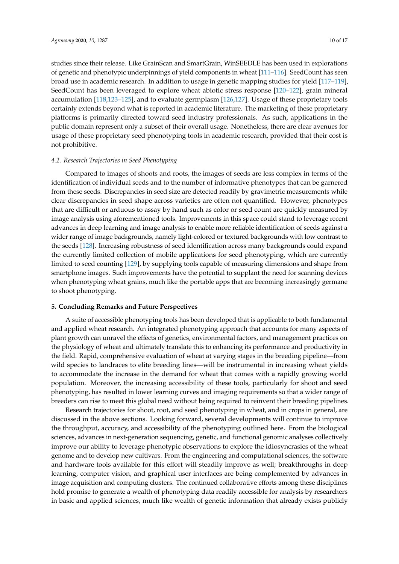studies since their release. Like GrainScan and SmartGrain, WinSEEDLE has been used in explorations of genetic and phenotypic underpinnings of yield components in wheat [\[111](#page-15-5)[–116\]](#page-15-6). SeedCount has seen broad use in academic research. In addition to usage in genetic mapping studies for yield [\[117](#page-15-7)[–119\]](#page-15-8), SeedCount has been leveraged to explore wheat abiotic stress response [\[120–](#page-15-9)[122\]](#page-15-10), grain mineral accumulation [\[118,](#page-15-11)[123](#page-15-12)[–125\]](#page-16-0), and to evaluate germplasm [\[126,](#page-16-1)[127\]](#page-16-2). Usage of these proprietary tools certainly extends beyond what is reported in academic literature. The marketing of these proprietary platforms is primarily directed toward seed industry professionals. As such, applications in the public domain represent only a subset of their overall usage. Nonetheless, there are clear avenues for usage of these proprietary seed phenotyping tools in academic research, provided that their cost is not prohibitive.

#### *4.2. Research Trajectories in Seed Phenotyping*

Compared to images of shoots and roots, the images of seeds are less complex in terms of the identification of individual seeds and to the number of informative phenotypes that can be garnered from these seeds. Discrepancies in seed size are detected readily by gravimetric measurements while clear discrepancies in seed shape across varieties are often not quantified. However, phenotypes that are difficult or arduous to assay by hand such as color or seed count are quickly measured by image analysis using aforementioned tools. Improvements in this space could stand to leverage recent advances in deep learning and image analysis to enable more reliable identification of seeds against a wider range of image backgrounds, namely light-colored or textured backgrounds with low contrast to the seeds [\[128\]](#page-16-3). Increasing robustness of seed identification across many backgrounds could expand the currently limited collection of mobile applications for seed phenotyping, which are currently limited to seed counting [\[129\]](#page-16-4), by supplying tools capable of measuring dimensions and shape from smartphone images. Such improvements have the potential to supplant the need for scanning devices when phenotyping wheat grains, much like the portable apps that are becoming increasingly germane to shoot phenotyping.

## **5. Concluding Remarks and Future Perspectives**

A suite of accessible phenotyping tools has been developed that is applicable to both fundamental and applied wheat research. An integrated phenotyping approach that accounts for many aspects of plant growth can unravel the effects of genetics, environmental factors, and management practices on the physiology of wheat and ultimately translate this to enhancing its performance and productivity in the field. Rapid, comprehensive evaluation of wheat at varying stages in the breeding pipeline—from wild species to landraces to elite breeding lines—will be instrumental in increasing wheat yields to accommodate the increase in the demand for wheat that comes with a rapidly growing world population. Moreover, the increasing accessibility of these tools, particularly for shoot and seed phenotyping, has resulted in lower learning curves and imaging requirements so that a wider range of breeders can rise to meet this global need without being required to reinvent their breeding pipelines.

Research trajectories for shoot, root, and seed phenotyping in wheat, and in crops in general, are discussed in the above sections. Looking forward, several developments will continue to improve the throughput, accuracy, and accessibility of the phenotyping outlined here. From the biological sciences, advances in next-generation sequencing, genetic, and functional genomic analyses collectively improve our ability to leverage phenotypic observations to explore the idiosyncrasies of the wheat genome and to develop new cultivars. From the engineering and computational sciences, the software and hardware tools available for this effort will steadily improve as well; breakthroughs in deep learning, computer vision, and graphical user interfaces are being complemented by advances in image acquisition and computing clusters. The continued collaborative efforts among these disciplines hold promise to generate a wealth of phenotyping data readily accessible for analysis by researchers in basic and applied sciences, much like wealth of genetic information that already exists publicly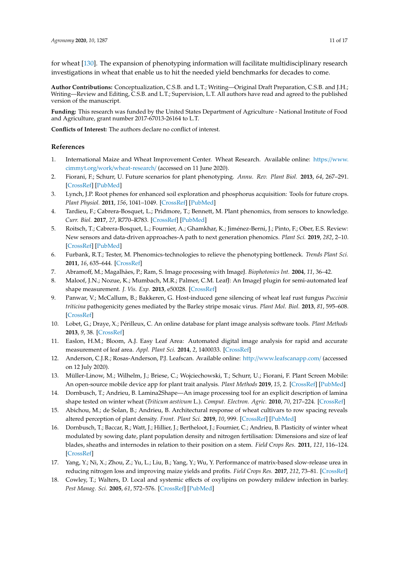for wheat [\[130\]](#page-16-5). The expansion of phenotyping information will facilitate multidisciplinary research investigations in wheat that enable us to hit the needed yield benchmarks for decades to come.

**Author Contributions:** Conceptualization, C.S.B. and L.T.; Writing—Original Draft Preparation, C.S.B. and J.H.; Writing—Review and Editing, C.S.B. and L.T.; Supervision, L.T. All authors have read and agreed to the published version of the manuscript.

**Funding:** This research was funded by the United States Department of Agriculture - National Institute of Food and Agriculture, grant number 2017-67013-26164 to L.T.

**Conflicts of Interest:** The authors declare no conflict of interest.

## **References**

- <span id="page-10-0"></span>1. International Maize and Wheat Improvement Center. Wheat Research. Available online: https://[www.](https://www.cimmyt.org/work/wheat-research/) cimmyt.org/work/[wheat-research](https://www.cimmyt.org/work/wheat-research/)/ (accessed on 11 June 2020).
- <span id="page-10-1"></span>2. Fiorani, F.; Schurr, U. Future scenarios for plant phenotyping. *Annu. Rev. Plant Biol.* **2013**, *64*, 267–291. [\[CrossRef\]](http://dx.doi.org/10.1146/annurev-arplant-050312-120137) [\[PubMed\]](http://www.ncbi.nlm.nih.gov/pubmed/23451789)
- <span id="page-10-2"></span>3. Lynch, J.P. Root phenes for enhanced soil exploration and phosphorus acquisition: Tools for future crops. *Plant Physiol.* **2011**, *156*, 1041–1049. [\[CrossRef\]](http://dx.doi.org/10.1104/pp.111.175414) [\[PubMed\]](http://www.ncbi.nlm.nih.gov/pubmed/21610180)
- <span id="page-10-3"></span>4. Tardieu, F.; Cabrera-Bosquet, L.; Pridmore, T.; Bennett, M. Plant phenomics, from sensors to knowledge. *Curr. Biol.* **2017**, *27*, R770–R783. [\[CrossRef\]](http://dx.doi.org/10.1016/j.cub.2017.05.055) [\[PubMed\]](http://www.ncbi.nlm.nih.gov/pubmed/28787611)
- 5. Roitsch, T.; Cabrera-Bosquet, L.; Fournier, A.; Ghamkhar, K.; Jiménez-Berni, J.; Pinto, F.; Ober, E.S. Review: New sensors and data-driven approaches-A path to next generation phenomics. *Plant Sci.* **2019**, *282*, 2–10. [\[CrossRef\]](http://dx.doi.org/10.1016/j.plantsci.2019.01.011) [\[PubMed\]](http://www.ncbi.nlm.nih.gov/pubmed/31003608)
- <span id="page-10-4"></span>6. Furbank, R.T.; Tester, M. Phenomics-technologies to relieve the phenotyping bottleneck. *Trends Plant Sci.* **2011**, *16*, 635–644. [\[CrossRef\]](http://dx.doi.org/10.1016/j.tplants.2011.09.005)
- <span id="page-10-5"></span>7. Abramoff, M.; Magalhães, P.; Ram, S. Image processing with ImageJ. *Biophotonics Int.* **2004**, *11*, 36–42.
- <span id="page-10-6"></span>8. Maloof, J.N.; Nozue, K.; Mumbach, M.R.; Palmer, C.M. LeafJ: An ImageJ plugin for semi-automated leaf shape measurement. *J. Vis. Exp.* **2013**, e50028. [\[CrossRef\]](http://dx.doi.org/10.3791/50028)
- <span id="page-10-7"></span>9. Panwar, V.; McCallum, B.; Bakkeren, G. Host-induced gene silencing of wheat leaf rust fungus *Puccinia triticina* pathogenicity genes mediated by the Barley stripe mosaic virus. *Plant Mol. Biol.* **2013**, *81*, 595–608. [\[CrossRef\]](http://dx.doi.org/10.1007/s11103-013-0022-7)
- <span id="page-10-8"></span>10. Lobet, G.; Draye, X.; Périlleux, C. An online database for plant image analysis software tools. *Plant Methods* **2013**, *9*, 38. [\[CrossRef\]](http://dx.doi.org/10.1186/1746-4811-9-38)
- <span id="page-10-9"></span>11. Easlon, H.M.; Bloom, A.J. Easy Leaf Area: Automated digital image analysis for rapid and accurate measurement of leaf area. *Appl. Plant Sci.* **2014**, *2*, 1400033. [\[CrossRef\]](http://dx.doi.org/10.3732/apps.1400033)
- <span id="page-10-10"></span>12. Anderson, C.J.R.; Rosas-Anderson, P.J. Leafscan. Available online: http://[www.leafscanapp.com](http://www.leafscanapp.com/)/ (accessed on 12 July 2020).
- <span id="page-10-11"></span>13. Müller-Linow, M.; Wilhelm, J.; Briese, C.; Wojciechowski, T.; Schurr, U.; Fiorani, F. Plant Screen Mobile: An open-source mobile device app for plant trait analysis. *Plant Methods* **2019**, *15*, 2. [\[CrossRef\]](http://dx.doi.org/10.1186/s13007-019-0386-z) [\[PubMed\]](http://www.ncbi.nlm.nih.gov/pubmed/30651749)
- <span id="page-10-12"></span>14. Dornbusch, T.; Andrieu, B. Lamina2Shape—An image processing tool for an explicit description of lamina shape tested on winter wheat (*Triticum aestivum* L.). *Comput. Electron. Agric.* **2010**, *70*, 217–224. [\[CrossRef\]](http://dx.doi.org/10.1016/j.compag.2009.10.009)
- <span id="page-10-13"></span>15. Abichou, M.; de Solan, B.; Andrieu, B. Architectural response of wheat cultivars to row spacing reveals altered perception of plant density. *Front. Plant Sci.* **2019**, *10*, 999. [\[CrossRef\]](http://dx.doi.org/10.3389/fpls.2019.00999) [\[PubMed\]](http://www.ncbi.nlm.nih.gov/pubmed/31447868)
- <span id="page-10-14"></span>16. Dornbusch, T.; Baccar, R.; Watt, J.; Hillier, J.; Bertheloot, J.; Fournier, C.; Andrieu, B. Plasticity of winter wheat modulated by sowing date, plant population density and nitrogen fertilisation: Dimensions and size of leaf blades, sheaths and internodes in relation to their position on a stem. *Field Crops Res.* **2011**, *121*, 116–124. [\[CrossRef\]](http://dx.doi.org/10.1016/j.fcr.2010.12.004)
- <span id="page-10-15"></span>17. Yang, Y.; Ni, X.; Zhou, Z.; Yu, L.; Liu, B.; Yang, Y.; Wu, Y. Performance of matrix-based slow-release urea in reducing nitrogen loss and improving maize yields and profits. *Field Crops Res.* **2017**, *212*, 73–81. [\[CrossRef\]](http://dx.doi.org/10.1016/j.fcr.2017.07.005)
- <span id="page-10-16"></span>18. Cowley, T.; Walters, D. Local and systemic effects of oxylipins on powdery mildew infection in barley. *Pest Manag. Sci.* **2005**, *61*, 572–576. [\[CrossRef\]](http://dx.doi.org/10.1002/ps.1026) [\[PubMed\]](http://www.ncbi.nlm.nih.gov/pubmed/15668923)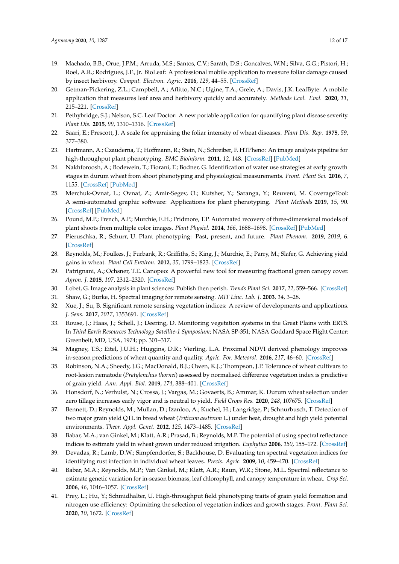- <span id="page-11-0"></span>19. Machado, B.B.; Orue, J.P.M.; Arruda, M.S.; Santos, C.V.; Sarath, D.S.; Goncalves, W.N.; Silva, G.G.; Pistori, H.; Roel, A.R.; Rodrigues, J.F., Jr. BioLeaf: A professional mobile application to measure foliar damage caused by insect herbivory. *Comput. Electron. Agric.* **2016**, *129*, 44–55. [\[CrossRef\]](http://dx.doi.org/10.1016/j.compag.2016.09.007)
- <span id="page-11-1"></span>20. Getman-Pickering, Z.L.; Campbell, A.; Aflitto, N.C.; Ugine, T.A.; Grele, A.; Davis, J.K. LeafByte: A mobile application that measures leaf area and herbivory quickly and accurately. *Methods Ecol. Evol.* **2020**, *11*, 215–221. [\[CrossRef\]](http://dx.doi.org/10.1111/2041-210X.13340)
- <span id="page-11-2"></span>21. Pethybridge, S.J.; Nelson, S.C. Leaf Doctor: A new portable application for quantifying plant disease severity. *Plant Dis.* **2015**, *99*, 1310–1316. [\[CrossRef\]](http://dx.doi.org/10.1094/PDIS-03-15-0319-RE)
- <span id="page-11-3"></span>22. Saari, E.; Prescott, J. A scale for appraising the foliar intensity of wheat diseases. *Plant Dis. Rep.* **1975**, *59*, 377–380.
- <span id="page-11-4"></span>23. Hartmann, A.; Czauderna, T.; Hoffmann, R.; Stein, N.; Schreiber, F. HTPheno: An image analysis pipeline for high-throughput plant phenotyping. *BMC Bioinform.* **2011**, *12*, 148. [\[CrossRef\]](http://dx.doi.org/10.1186/1471-2105-12-148) [\[PubMed\]](http://www.ncbi.nlm.nih.gov/pubmed/21569390)
- <span id="page-11-5"></span>24. Nakhforoosh, A.; Bodewein, T.; Fiorani, F.; Bodner, G. Identification of water use strategies at early growth stages in durum wheat from shoot phenotyping and physiological measurements. *Front. Plant Sci.* **2016**, *7*, 1155. [\[CrossRef\]](http://dx.doi.org/10.3389/fpls.2016.01155) [\[PubMed\]](http://www.ncbi.nlm.nih.gov/pubmed/27547208)
- <span id="page-11-6"></span>25. Merchuk-Ovnat, L.; Ovnat, Z.; Amir-Segev, O.; Kutsher, Y.; Saranga, Y.; Reuveni, M. CoverageTool: A semi-automated graphic software: Applications for plant phenotyping. *Plant Methods* **2019**, *15*, 90. [\[CrossRef\]](http://dx.doi.org/10.1186/s13007-019-0472-2) [\[PubMed\]](http://www.ncbi.nlm.nih.gov/pubmed/31404403)
- <span id="page-11-7"></span>26. Pound, M.P.; French, A.P.; Murchie, E.H.; Pridmore, T.P. Automated recovery of three-dimensional models of plant shoots from multiple color images. *Plant Physiol.* **2014**, *166*, 1688–1698. [\[CrossRef\]](http://dx.doi.org/10.1104/pp.114.248971) [\[PubMed\]](http://www.ncbi.nlm.nih.gov/pubmed/25332504)
- <span id="page-11-8"></span>27. Pieruschka, R.; Schurr, U. Plant phenotyping: Past, present, and future. *Plant Phenom.* **2019**, *2019*, 6. [\[CrossRef\]](http://dx.doi.org/10.34133/2019/7507131)
- <span id="page-11-9"></span>28. Reynolds, M.; Foulkes, J.; Furbank, R.; Griffiths, S.; King, J.; Murchie, E.; Parry, M.; Slafer, G. Achieving yield gains in wheat. *Plant Cell Environ.* **2012**, *35*, 1799–1823. [\[CrossRef\]](http://dx.doi.org/10.1111/j.1365-3040.2012.02588.x)
- <span id="page-11-10"></span>29. Patrignani, A.; Ochsner, T.E. Canopeo: A powerful new tool for measuring fractional green canopy cover. *Agron. J.* **2015**, *107*, 2312–2320. [\[CrossRef\]](http://dx.doi.org/10.2134/agronj15.0150)
- <span id="page-11-11"></span>30. Lobet, G. Image analysis in plant sciences: Publish then perish. *Trends Plant Sci.* **2017**, *22*, 559–566. [\[CrossRef\]](http://dx.doi.org/10.1016/j.tplants.2017.05.002)
- <span id="page-11-12"></span>31. Shaw, G.; Burke, H. Spectral imaging for remote sensing. *MIT Linc. Lab. J.* **2003**, *14*, 3–28.
- <span id="page-11-13"></span>32. Xue, J.; Su, B. Significant remote sensing vegetation indices: A review of developments and applications. *J. Sens.* **2017**, *2017*, 1353691. [\[CrossRef\]](http://dx.doi.org/10.1155/2017/1353691)
- <span id="page-11-14"></span>33. Rouse, J.; Haas, J.; Schell, J.; Deering, D. Monitoring vegetation systems in the Great Plains with ERTS. In *Third Earth Resources Technology Satellite-1 Symposium*; NASA SP-351; NASA Goddard Space Flight Center: Greenbelt, MD, USA, 1974; pp. 301–317.
- <span id="page-11-15"></span>34. Magney, T.S.; Eitel, J.U.H.; Huggins, D.R.; Vierling, L.A. Proximal NDVI derived phenology improves in-season predictions of wheat quantity and quality. *Agric. For. Meteorol.* **2016**, *217*, 46–60. [\[CrossRef\]](http://dx.doi.org/10.1016/j.agrformet.2015.11.009)
- <span id="page-11-16"></span>35. Robinson, N.A.; Sheedy, J.G.; MacDonald, B.J.; Owen, K.J.; Thompson, J.P. Tolerance of wheat cultivars to root-lesion nematode (*Pratylenchus thornei*) assessed by normalised difference vegetation index is predictive of grain yield. *Ann. Appl. Biol.* **2019**, *174*, 388–401. [\[CrossRef\]](http://dx.doi.org/10.1111/aab.12504)
- <span id="page-11-17"></span>36. Honsdorf, N.; Verhulst, N.; Crossa, J.; Vargas, M.; Govaerts, B.; Ammar, K. Durum wheat selection under zero tillage increases early vigor and is neutral to yield. *Field Crops Res.* **2020**, *248*, 107675. [\[CrossRef\]](http://dx.doi.org/10.1016/j.fcr.2019.107675)
- <span id="page-11-18"></span>37. Bennett, D.; Reynolds, M.; Mullan, D.; Izanloo, A.; Kuchel, H.; Langridge, P.; Schnurbusch, T. Detection of two major grain yield QTL in bread wheat (*Triticum aestivum* L.) under heat, drought and high yield potential environments. *Theor. Appl. Genet.* **2012**, *125*, 1473–1485. [\[CrossRef\]](http://dx.doi.org/10.1007/s00122-012-1927-2)
- <span id="page-11-19"></span>38. Babar, M.A.; van Ginkel, M.; Klatt, A.R.; Prasad, B.; Reynolds, M.P. The potential of using spectral reflectance indices to estimate yield in wheat grown under reduced irrigation. *Euphytica* **2006**, *150*, 155–172. [\[CrossRef\]](http://dx.doi.org/10.1007/s10681-006-9104-9)
- <span id="page-11-20"></span>39. Devadas, R.; Lamb, D.W.; Simpfendorfer, S.; Backhouse, D. Evaluating ten spectral vegetation indices for identifying rust infection in individual wheat leaves. *Precis. Agric.* **2009**, *10*, 459–470. [\[CrossRef\]](http://dx.doi.org/10.1007/s11119-008-9100-2)
- <span id="page-11-21"></span>40. Babar, M.A.; Reynolds, M.P.; Van Ginkel, M.; Klatt, A.R.; Raun, W.R.; Stone, M.L. Spectral reflectance to estimate genetic variation for in-season biomass, leaf chlorophyll, and canopy temperature in wheat. *Crop Sci.* **2006**, *46*, 1046–1057. [\[CrossRef\]](http://dx.doi.org/10.2135/cropsci2005.0211)
- <span id="page-11-22"></span>41. Prey, L.; Hu, Y.; Schmidhalter, U. High-throughput field phenotyping traits of grain yield formation and nitrogen use efficiency: Optimizing the selection of vegetation indices and growth stages. *Front. Plant Sci.* **2020**, *10*, 1672. [\[CrossRef\]](http://dx.doi.org/10.3389/fpls.2019.01672)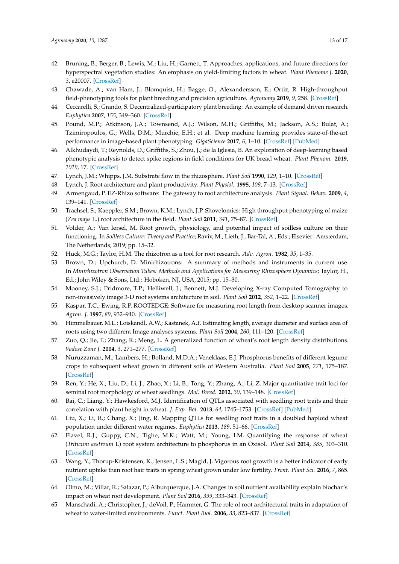- <span id="page-12-0"></span>42. Bruning, B.; Berger, B.; Lewis, M.; Liu, H.; Garnett, T. Approaches, applications, and future directions for hyperspectral vegetation studies: An emphasis on yield-limiting factors in wheat. *Plant Phenome J.* **2020**, *3*, e20007. [\[CrossRef\]](http://dx.doi.org/10.1002/ppj2.20007)
- <span id="page-12-1"></span>43. Chawade, A.; van Ham, J.; Blomquist, H.; Bagge, O.; Alexandersson, E.; Ortiz, R. High-throughput field-phenotyping tools for plant breeding and precision agriculture. *Agronomy* **2019**, *9*, 258. [\[CrossRef\]](http://dx.doi.org/10.3390/agronomy9050258)
- <span id="page-12-2"></span>44. Ceccarelli, S.; Grando, S. Decentralized-participatory plant breeding: An example of demand driven research. *Euphytica* **2007**, *155*, 349–360. [\[CrossRef\]](http://dx.doi.org/10.1007/s10681-006-9336-8)
- <span id="page-12-3"></span>45. Pound, M.P.; Atkinson, J.A.; Townsend, A.J.; Wilson, M.H.; Griffiths, M.; Jackson, A.S.; Bulat, A.; Tzimiropoulos, G.; Wells, D.M.; Murchie, E.H.; et al. Deep machine learning provides state-of-the-art performance in image-based plant phenotyping. *GigaScience* **2017**, *6*, 1–10. [\[CrossRef\]](http://dx.doi.org/10.1093/gigascience/gix083) [\[PubMed\]](http://www.ncbi.nlm.nih.gov/pubmed/29020747)
- <span id="page-12-4"></span>46. Alkhudaydi, T.; Reynolds, D.; Griffiths, S.; Zhou, J.; de la Iglesia, B. An exploration of deep-learning based phenotypic analysis to detect spike regions in field conditions for UK bread wheat. *Plant Phenom.* **2019**, *2019*, 17. [\[CrossRef\]](http://dx.doi.org/10.34133/2019/7368761)
- <span id="page-12-5"></span>47. Lynch, J.M.; Whipps, J.M. Substrate flow in the rhizosphere. *Plant Soil* **1990**, *129*, 1–10. [\[CrossRef\]](http://dx.doi.org/10.1007/BF00011685)
- <span id="page-12-6"></span>48. Lynch, J. Root architecture and plant productivity. *Plant Physiol.* **1995**, *109*, 7–13. [\[CrossRef\]](http://dx.doi.org/10.1104/pp.109.1.7)
- <span id="page-12-7"></span>49. Armengaud, P. EZ-Rhizo software: The gateway to root architecture analysis. *Plant Signal. Behav.* **2009**, *4*, 139–141. [\[CrossRef\]](http://dx.doi.org/10.4161/psb.4.2.7763)
- <span id="page-12-8"></span>50. Trachsel, S.; Kaeppler, S.M.; Brown, K.M.; Lynch, J.P. Shovelomics: High throughput phenotyping of maize (*Zea mays* L.) root architecture in the field. *Plant Soil* **2011**, *341*, 75–87. [\[CrossRef\]](http://dx.doi.org/10.1007/s11104-010-0623-8)
- <span id="page-12-9"></span>51. Volder, A.; Van Iersel, M. Root growth, physiology, and potential impact of soilless culture on their functioning. In *Soilless Culture: Theory and Practice*; Raviv, M., Lieth, J., Bar-Tal, A., Eds.; Elsevier: Amsterdam, The Netherlands, 2019; pp. 15–32.
- <span id="page-12-10"></span>52. Huck, M.G.; Taylor, H.M. The rhizotron as a tool for root research. *Adv. Agron.* **1982**, *35*, 1–35.
- <span id="page-12-11"></span>53. Brown, D.; Upchurch, D. Minirhizotrons: A summary of methods and instruments in current use. In *Minirhizotron Observation Tubes: Methods and Applications for Measuring Rhizosphere Dynamics*; Taylor, H., Ed.; John Wiley & Sons, Ltd.: Hoboken, NJ, USA, 2015; pp. 15–30.
- <span id="page-12-12"></span>54. Mooney, S.J.; Pridmore, T.P.; Helliwell, J.; Bennett, M.J. Developing X-ray Computed Tomography to non-invasively image 3-D root systems architecture in soil. *Plant Soil* **2012**, *352*, 1–22. [\[CrossRef\]](http://dx.doi.org/10.1007/s11104-011-1039-9)
- <span id="page-12-13"></span>55. Kaspar, T.C.; Ewing, R.P. ROOTEDGE: Software for measuring root length from desktop scanner images. *Agron. J.* **1997**, *89*, 932–940. [\[CrossRef\]](http://dx.doi.org/10.2134/agronj1997.00021962008900060014x)
- <span id="page-12-14"></span>56. Himmelbauer, M.L.; Loiskandl, A.W.; Kastanek, A.F. Estimating length, average diameter and surface area of roots using two different Image analyses systems. *Plant Soil* **2004**, *260*, 111–120. [\[CrossRef\]](http://dx.doi.org/10.1023/B:PLSO.0000030171.28821.55)
- <span id="page-12-15"></span>57. Zuo, Q.; Jie, F.; Zhang, R.; Meng, L. A generalized function of wheat's root length density distributions. *Vadose Zone J.* **2004**, *3*, 271–277. [\[CrossRef\]](http://dx.doi.org/10.2136/vzj2004.2710)
- <span id="page-12-16"></span>58. Nuruzzaman, M.; Lambers, H.; Bolland, M.D.A.; Veneklaas, E.J. Phosphorus benefits of different legume crops to subsequent wheat grown in different soils of Western Australia. *Plant Soil* **2005**, *271*, 175–187. [\[CrossRef\]](http://dx.doi.org/10.1007/s11104-004-2386-6)
- <span id="page-12-17"></span>59. Ren, Y.; He, X.; Liu, D.; Li, J.; Zhao, X.; Li, B.; Tong, Y.; Zhang, A.; Li, Z. Major quantitative trait loci for seminal root morphology of wheat seedlings. *Mol. Breed.* **2012**, *30*, 139–148. [\[CrossRef\]](http://dx.doi.org/10.1007/s11032-011-9605-7)
- <span id="page-12-21"></span>60. Bai, C.; Liang, Y.; Hawkesford, M.J. Identification of QTLs associated with seedling root traits and their correlation with plant height in wheat. *J. Exp. Bot.* **2013**, *64*, 1745–1753. [\[CrossRef\]](http://dx.doi.org/10.1093/jxb/ert041) [\[PubMed\]](http://www.ncbi.nlm.nih.gov/pubmed/23564959)
- <span id="page-12-18"></span>61. Liu, X.; Li, R.; Chang, X.; Jing, R. Mapping QTLs for seedling root traits in a doubled haploid wheat population under different water regimes. *Euphytica* **2013**, *189*, 51–66. [\[CrossRef\]](http://dx.doi.org/10.1007/s10681-012-0690-4)
- <span id="page-12-19"></span>62. Flavel, R.J.; Guppy, C.N.; Tighe, M.K.; Watt, M.; Young, I.M. Quantifying the response of wheat (*Triticum aestivum* L) root system architecture to phosphorus in an Oxisol. *Plant Soil* **2014**, *385*, 303–310. [\[CrossRef\]](http://dx.doi.org/10.1007/s11104-014-2191-9)
- 63. Wang, Y.; Thorup-Kristensen, K.; Jensen, L.S.; Magid, J. Vigorous root growth is a better indicator of early nutrient uptake than root hair traits in spring wheat grown under low fertility. *Front. Plant Sci.* **2016**, *7*, 865. [\[CrossRef\]](http://dx.doi.org/10.3389/fpls.2016.00865)
- <span id="page-12-20"></span>64. Olmo, M.; Villar, R.; Salazar, P.; Alburquerque, J.A. Changes in soil nutrient availability explain biochar's impact on wheat root development. *Plant Soil* **2016**, *399*, 333–343. [\[CrossRef\]](http://dx.doi.org/10.1007/s11104-015-2700-5)
- <span id="page-12-22"></span>65. Manschadi, A.; Christopher, J.; deVoil, P.; Hammer, G. The role of root architectural traits in adaptation of wheat to water-limited environments. *Funct. Plant Biol.* **2006**, *33*, 823–837. [\[CrossRef\]](http://dx.doi.org/10.1071/FP06055)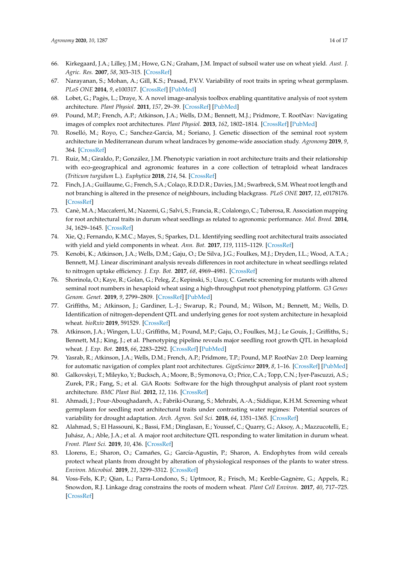- <span id="page-13-0"></span>66. Kirkegaard, J.A.; Lilley, J.M.; Howe, G.N.; Graham, J.M. Impact of subsoil water use on wheat yield. *Aust. J. Agric. Res.* **2007**, *58*, 303–315. [\[CrossRef\]](http://dx.doi.org/10.1071/AR06285)
- <span id="page-13-1"></span>67. Narayanan, S.; Mohan, A.; Gill, K.S.; Prasad, P.V.V. Variability of root traits in spring wheat germplasm. *PLoS ONE* **2014**, *9*, e100317. [\[CrossRef\]](http://dx.doi.org/10.1371/journal.pone.0100317) [\[PubMed\]](http://www.ncbi.nlm.nih.gov/pubmed/24945438)
- <span id="page-13-2"></span>68. Lobet, G.; Pagès, L.; Draye, X. A novel image-analysis toolbox enabling quantitative analysis of root system architecture. *Plant Physiol.* **2011**, *157*, 29–39. [\[CrossRef\]](http://dx.doi.org/10.1104/pp.111.179895) [\[PubMed\]](http://www.ncbi.nlm.nih.gov/pubmed/21771915)
- <span id="page-13-3"></span>69. Pound, M.P.; French, A.P.; Atkinson, J.A.; Wells, D.M.; Bennett, M.J.; Pridmore, T. RootNav: Navigating images of complex root architectures. *Plant Physiol.* **2013**, *162*, 1802–1814. [\[CrossRef\]](http://dx.doi.org/10.1104/pp.113.221531) [\[PubMed\]](http://www.ncbi.nlm.nih.gov/pubmed/23766367)
- <span id="page-13-4"></span>70. Roselló, M.; Royo, C.; Sanchez-Garcia, M.; Soriano, J. Genetic dissection of the seminal root system architecture in Mediterranean durum wheat landraces by genome-wide association study. *Agronomy* **2019**, *9*, 364. [\[CrossRef\]](http://dx.doi.org/10.3390/agronomy9070364)
- <span id="page-13-5"></span>71. Ruiz, M.; Giraldo, P.; González, J.M. Phenotypic variation in root architecture traits and their relationship with eco-geographical and agronomic features in a core collection of tetraploid wheat landraces (*Triticum turgidum* L.). *Euphytica* **2018**, *214*, 54. [\[CrossRef\]](http://dx.doi.org/10.1007/s10681-018-2133-3)
- <span id="page-13-6"></span>72. Finch, J.A.; Guillaume, G.; French, S.A.; Colaço, R.D.D.R.; Davies, J.M.; Swarbreck, S.M. Wheat root length and not branching is altered in the presence of neighbours, including blackgrass. *PLoS ONE* **2017**, *12*, e0178176. [\[CrossRef\]](http://dx.doi.org/10.1371/journal.pone.0178176)
- <span id="page-13-7"></span>73. Canè, M.A.; Maccaferri, M.; Nazemi, G.; Salvi, S.; Francia, R.; Colalongo, C.; Tuberosa, R. Association mapping for root architectural traits in durum wheat seedlings as related to agronomic performance. *Mol. Breed.* **2014**, *34*, 1629–1645. [\[CrossRef\]](http://dx.doi.org/10.1007/s11032-014-0177-1)
- <span id="page-13-8"></span>74. Xie, Q.; Fernando, K.M.C.; Mayes, S.; Sparkes, D.L. Identifying seedling root architectural traits associated with yield and yield components in wheat. *Ann. Bot.* **2017**, *119*, 1115–1129. [\[CrossRef\]](http://dx.doi.org/10.1093/aob/mcx001)
- <span id="page-13-9"></span>75. Kenobi, K.; Atkinson, J.A.; Wells, D.M.; Gaju, O.; De Silva, J.G.; Foulkes, M.J.; Dryden, I.L.; Wood, A.T.A.; Bennett, M.J. Linear discriminant analysis reveals differences in root architecture in wheat seedlings related to nitrogen uptake efficiency. *J. Exp. Bot.* **2017**, *68*, 4969–4981. [\[CrossRef\]](http://dx.doi.org/10.1093/jxb/erx300)
- <span id="page-13-10"></span>76. Shorinola, O.; Kaye, R.; Golan, G.; Peleg, Z.; Kepinski, S.; Uauy, C. Genetic screening for mutants with altered seminal root numbers in hexaploid wheat using a high-throughput root phenotyping platform. *G3 Genes Genom. Genet.* **2019**, *9*, 2799–2809. [\[CrossRef\]](http://dx.doi.org/10.1534/g3.119.400537) [\[PubMed\]](http://www.ncbi.nlm.nih.gov/pubmed/31352407)
- 77. Griffiths, M.; Atkinson, J.; Gardiner, L.-J.; Swarup, R.; Pound, M.; Wilson, M.; Bennett, M.; Wells, D. Identification of nitrogen-dependent QTL and underlying genes for root system architecture in hexaploid wheat. *bioRxiv* **2019**, 591529. [\[CrossRef\]](http://dx.doi.org/10.1101/591529)
- <span id="page-13-11"></span>78. Atkinson, J.A.; Wingen, L.U.; Griffiths, M.; Pound, M.P.; Gaju, O.; Foulkes, M.J.; Le Gouis, J.; Griffiths, S.; Bennett, M.J.; King, J.; et al. Phenotyping pipeline reveals major seedling root growth QTL in hexaploid wheat. *J. Exp. Bot.* **2015**, *66*, 2283–2292. [\[CrossRef\]](http://dx.doi.org/10.1093/jxb/erv006) [\[PubMed\]](http://www.ncbi.nlm.nih.gov/pubmed/25740921)
- <span id="page-13-12"></span>79. Yasrab, R.; Atkinson, J.A.; Wells, D.M.; French, A.P.; Pridmore, T.P.; Pound, M.P. RootNav 2.0: Deep learning for automatic navigation of complex plant root architectures. *GigaScience* **2019**, *8*, 1–16. [\[CrossRef\]](http://dx.doi.org/10.1093/gigascience/giz123) [\[PubMed\]](http://www.ncbi.nlm.nih.gov/pubmed/31702012)
- <span id="page-13-13"></span>80. Galkovskyi, T.; Mileyko, Y.; Bucksch, A.; Moore, B.; Symonova, O.; Price, C.A.; Topp, C.N.; Iyer-Pascuzzi, A.S.; Zurek, P.R.; Fang, S.; et al. GiA Roots: Software for the high throughput analysis of plant root system architecture. *BMC Plant Biol.* **2012**, *12*, 116. [\[CrossRef\]](http://dx.doi.org/10.1186/1471-2229-12-116)
- <span id="page-13-14"></span>81. Ahmadi, J.; Pour-Aboughadareh, A.; Fabriki-Ourang, S.; Mehrabi, A.-A.; Siddique, K.H.M. Screening wheat germplasm for seedling root architectural traits under contrasting water regimes: Potential sources of variability for drought adaptation. *Arch. Agron. Soil Sci.* **2018**, *64*, 1351–1365. [\[CrossRef\]](http://dx.doi.org/10.1080/03650340.2018.1432855)
- 82. Alahmad, S.; El Hassouni, K.; Bassi, F.M.; Dinglasan, E.; Youssef, C.; Quarry, G.; Aksoy, A.; Mazzucotelli, E.; Juhász, A.; Able, J.A.; et al. A major root architecture QTL responding to water limitation in durum wheat. *Front. Plant Sci.* **2019**, *10*, 436. [\[CrossRef\]](http://dx.doi.org/10.3389/fpls.2019.00436)
- <span id="page-13-15"></span>83. Llorens, E.; Sharon, O.; Camañes, G.; García-Agustín, P.; Sharon, A. Endophytes from wild cereals protect wheat plants from drought by alteration of physiological responses of the plants to water stress. *Environ. Microbiol.* **2019**, *21*, 3299–3312. [\[CrossRef\]](http://dx.doi.org/10.1111/1462-2920.14530)
- <span id="page-13-16"></span>84. Voss-Fels, K.P.; Qian, L.; Parra-Londono, S.; Uptmoor, R.; Frisch, M.; Keeble-Gagnère, G.; Appels, R.; Snowdon, R.J. Linkage drag constrains the roots of modern wheat. *Plant Cell Environ.* **2017**, *40*, 717–725. [\[CrossRef\]](http://dx.doi.org/10.1111/pce.12888)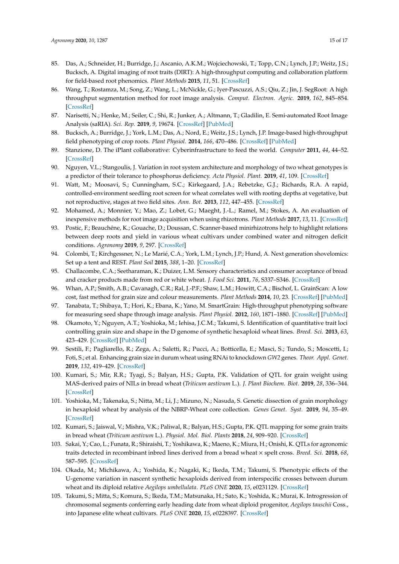- <span id="page-14-0"></span>85. Das, A.; Schneider, H.; Burridge, J.; Ascanio, A.K.M.; Wojciechowski, T.; Topp, C.N.; Lynch, J.P.; Weitz, J.S.; Bucksch, A. Digital imaging of root traits (DIRT): A high-throughput computing and collaboration platform for field-based root phenomics. *Plant Methods* **2015**, *11*, 51. [\[CrossRef\]](http://dx.doi.org/10.1186/s13007-015-0093-3)
- <span id="page-14-1"></span>86. Wang, T.; Rostamza, M.; Song, Z.; Wang, L.; McNickle, G.; Iyer-Pascuzzi, A.S.; Qiu, Z.; Jin, J. SegRoot: A high throughput segmentation method for root image analysis. *Comput. Electron. Agric.* **2019**, *162*, 845–854. [\[CrossRef\]](http://dx.doi.org/10.1016/j.compag.2019.05.017)
- <span id="page-14-2"></span>87. Narisetti, N.; Henke, M.; Seiler, C.; Shi, R.; Junker, A.; Altmann, T.; Gladilin, E. Semi-automated Root Image Analysis (saRIA). *Sci. Rep.* **2019**, *9*, 19674. [\[CrossRef\]](http://dx.doi.org/10.1038/s41598-019-55876-3) [\[PubMed\]](http://www.ncbi.nlm.nih.gov/pubmed/31873104)
- <span id="page-14-3"></span>88. Bucksch, A.; Burridge, J.; York, L.M.; Das, A.; Nord, E.; Weitz, J.S.; Lynch, J.P. Image-based high-throughput field phenotyping of crop roots. *Plant Physiol.* **2014**, *166*, 470–486. [\[CrossRef\]](http://dx.doi.org/10.1104/pp.114.243519) [\[PubMed\]](http://www.ncbi.nlm.nih.gov/pubmed/25187526)
- <span id="page-14-4"></span>89. Stanzione, D. The iPlant collaborative: Cyberinfrastructure to feed the world. *Computer* **2011**, *44*, 44–52. [\[CrossRef\]](http://dx.doi.org/10.1109/MC.2011.297)
- <span id="page-14-5"></span>90. Nguyen, V.L.; Stangoulis, J. Variation in root system architecture and morphology of two wheat genotypes is a predictor of their tolerance to phosphorus deficiency. *Acta Physiol. Plant.* **2019**, *41*, 109. [\[CrossRef\]](http://dx.doi.org/10.1007/s11738-019-2891-0)
- <span id="page-14-6"></span>91. Watt, M.; Moosavi, S.; Cunningham, S.C.; Kirkegaard, J.A.; Rebetzke, G.J.; Richards, R.A. A rapid, controlled-environment seedling root screen for wheat correlates well with rooting depths at vegetative, but not reproductive, stages at two field sites. *Ann. Bot.* **2013**, *112*, 447–455. [\[CrossRef\]](http://dx.doi.org/10.1093/aob/mct122)
- <span id="page-14-7"></span>92. Mohamed, A.; Monnier, Y.; Mao, Z.; Lobet, G.; Maeght, J.-L.; Ramel, M.; Stokes, A. An evaluation of inexpensive methods for root image acquisition when using rhizotrons. *Plant Methods* **2017**, *13*, 11. [\[CrossRef\]](http://dx.doi.org/10.1186/s13007-017-0160-z)
- <span id="page-14-8"></span>93. Postic, F.; Beauchêne, K.; Gouache, D.; Doussan, C. Scanner-based minirhizotrons help to highlight relations between deep roots and yield in various wheat cultivars under combined water and nitrogen deficit conditions. *Agronomy* **2019**, *9*, 297. [\[CrossRef\]](http://dx.doi.org/10.3390/agronomy9060297)
- <span id="page-14-9"></span>94. Colombi, T.; Kirchgessner, N.; Le Marié, C.A.; York, L.M.; Lynch, J.P.; Hund, A. Next generation shovelomics: Set up a tent and REST. *Plant Soil* **2015**, *388*, 1–20. [\[CrossRef\]](http://dx.doi.org/10.1007/s11104-015-2379-7)
- <span id="page-14-10"></span>95. Challacombe, C.A.; Seetharaman, K.; Duizer, L.M. Sensory characteristics and consumer acceptance of bread and cracker products made from red or white wheat. *J. Food Sci.* **2011**, *76*, S337–S346. [\[CrossRef\]](http://dx.doi.org/10.1111/j.1750-3841.2011.02200.x)
- <span id="page-14-11"></span>96. Whan, A.P.; Smith, A.B.; Cavanagh, C.R.; Ral, J.-P.F.; Shaw, L.M.; Howitt, C.A.; Bischof, L. GrainScan: A low cost, fast method for grain size and colour measurements. *Plant Methods* **2014**, *10*, 23. [\[CrossRef\]](http://dx.doi.org/10.1186/1746-4811-10-23) [\[PubMed\]](http://www.ncbi.nlm.nih.gov/pubmed/25050131)
- <span id="page-14-12"></span>97. Tanabata, T.; Shibaya, T.; Hori, K.; Ebana, K.; Yano, M. SmartGrain: High-throughput phenotyping software for measuring seed shape through image analysis. *Plant Physiol.* **2012**, *160*, 1871–1880. [\[CrossRef\]](http://dx.doi.org/10.1104/pp.112.205120) [\[PubMed\]](http://www.ncbi.nlm.nih.gov/pubmed/23054566)
- <span id="page-14-13"></span>98. Okamoto, Y.; Nguyen, A.T.; Yoshioka, M.; Iehisa, J.C.M.; Takumi, S. Identification of quantitative trait loci controlling grain size and shape in the D genome of synthetic hexaploid wheat lines. *Breed. Sci.* **2013**, *63*, 423–429. [\[CrossRef\]](http://dx.doi.org/10.1270/jsbbs.63.423) [\[PubMed\]](http://www.ncbi.nlm.nih.gov/pubmed/24399915)
- 99. Sestili, F.; Pagliarello, R.; Zega, A.; Saletti, R.; Pucci, A.; Botticella, E.; Masci, S.; Tundo, S.; Moscetti, I.; Foti, S.; et al. Enhancing grain size in durum wheat using RNAi to knockdown *GW2* genes. *Theor. Appl. Genet.* **2019**, *132*, 419–429. [\[CrossRef\]](http://dx.doi.org/10.1007/s00122-018-3229-9)
- 100. Kumari, S.; Mir, R.R.; Tyagi, S.; Balyan, H.S.; Gupta, P.K. Validation of QTL for grain weight using MAS-derived pairs of NILs in bread wheat (*Triticum aestivum* L.). *J. Plant Biochem. Biot.* **2019**, *28*, 336–344. [\[CrossRef\]](http://dx.doi.org/10.1007/s13562-018-0485-3)
- 101. Yoshioka, M.; Takenaka, S.; Nitta, M.; Li, J.; Mizuno, N.; Nasuda, S. Genetic dissection of grain morphology in hexaploid wheat by analysis of the NBRP-Wheat core collection. *Genes Genet. Syst.* **2019**, *94*, 35–49. [\[CrossRef\]](http://dx.doi.org/10.1266/ggs.18-00045)
- <span id="page-14-14"></span>102. Kumari, S.; Jaiswal, V.; Mishra, V.K.; Paliwal, R.; Balyan, H.S.; Gupta, P.K. QTL mapping for some grain traits in bread wheat (*Triticum aestivum* L.). *Physiol. Mol. Biol. Plants* **2018**, *24*, 909–920. [\[CrossRef\]](http://dx.doi.org/10.1007/s12298-018-0552-1)
- <span id="page-14-15"></span>103. Sakai, Y.; Cao, L.; Funata, R.; Shiraishi, T.; Yoshikawa, K.; Maeno, K.; Miura, H.; Onishi, K. QTLs for agronomic traits detected in recombinant inbred lines derived from a bread wheat × spelt cross. *Breed. Sci.* **2018**, *68*, 587–595. [\[CrossRef\]](http://dx.doi.org/10.1270/jsbbs.18046)
- 104. Okada, M.; Michikawa, A.; Yoshida, K.; Nagaki, K.; Ikeda, T.M.; Takumi, S. Phenotypic effects of the U-genome variation in nascent synthetic hexaploids derived from interspecific crosses between durum wheat and its diploid relative *Aegilops umbellulata*. *PLoS ONE* **2020**, *15*, e0231129. [\[CrossRef\]](http://dx.doi.org/10.1371/journal.pone.0231129)
- <span id="page-14-16"></span>105. Takumi, S.; Mitta, S.; Komura, S.; Ikeda, T.M.; Matsunaka, H.; Sato, K.; Yoshida, K.; Murai, K. Introgression of chromosomal segments conferring early heading date from wheat diploid progenitor, *Aegilops tauschii* Coss., into Japanese elite wheat cultivars. *PLoS ONE* **2020**, *15*, e0228397. [\[CrossRef\]](http://dx.doi.org/10.1371/journal.pone.0228397)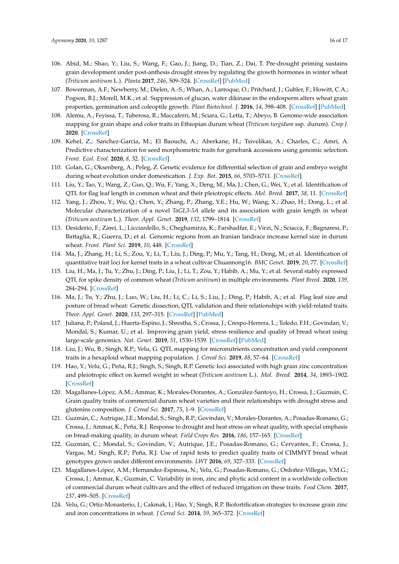- <span id="page-15-0"></span>106. Abid, M.; Shao, Y.; Liu, S.; Wang, F.; Gao, J.; Jiang, D.; Tian, Z.; Dai, T. Pre-drought priming sustains grain development under post-anthesis drought stress by regulating the growth hormones in winter wheat (*Triticum aestivum* L.). *Planta* **2017**, *246*, 509–524. [\[CrossRef\]](http://dx.doi.org/10.1007/s00425-017-2698-4) [\[PubMed\]](http://www.ncbi.nlm.nih.gov/pubmed/28526982)
- <span id="page-15-1"></span>107. Bowerman, A.F.; Newberry, M.; Dielen, A.-S.; Whan, A.; Larroque, O.; Pritchard, J.; Gubler, F.; Howitt, C.A.; Pogson, B.J.; Morell, M.K.; et al. Suppression of glucan, water dikinase in the endosperm alters wheat grain properties, germination and coleoptile growth. *Plant Biotechnol. J.* **2016**, *14*, 398–408. [\[CrossRef\]](http://dx.doi.org/10.1111/pbi.12394) [\[PubMed\]](http://www.ncbi.nlm.nih.gov/pubmed/25989474)
- <span id="page-15-2"></span>108. Alemu, A.; Feyissa, T.; Tuberosa, R.; Maccaferri, M.; Sciara, G.; Letta, T.; Abeyo, B. Genome-wide association mapping for grain shape and color traits in Ethiopian durum wheat (*Triticum turgidum* ssp. durum). *Crop J.* **2020**. [\[CrossRef\]](http://dx.doi.org/10.1016/j.cj.2020.01.001)
- <span id="page-15-3"></span>109. Kehel, Z.; Sanchez-Garcia, M.; El Baouchi, A.; Aberkane, H.; Tsivelikas, A.; Charles, C.; Amri, A. Predictive characterization for seed morphometric traits for genebank accessions using genomic selection. *Front. Ecol. Evol.* **2020**, *8*, 32. [\[CrossRef\]](http://dx.doi.org/10.3389/fevo.2020.00032)
- <span id="page-15-4"></span>110. Golan, G.; Oksenberg, A.; Peleg, Z. Genetic evidence for differential selection of grain and embryo weight during wheat evolution under domestication. *J. Exp. Bot.* **2015**, *66*, 5703–5711. [\[CrossRef\]](http://dx.doi.org/10.1093/jxb/erv249)
- <span id="page-15-5"></span>111. Liu, Y.; Tao, Y.; Wang, Z.; Guo, Q.; Wu, F.; Yang, X.; Deng, M.; Ma, J.; Chen, G.; Wei, Y.; et al. Identification of QTL for flag leaf length in common wheat and their pleiotropic effects. *Mol. Breed.* **2017**, *38*, 11. [\[CrossRef\]](http://dx.doi.org/10.1007/s11032-017-0766-x)
- 112. Yang, J.; Zhou, Y.; Wu, Q.; Chen, Y.; Zhang, P.; Zhang, Y.E.; Hu, W.; Wang, X.; Zhao, H.; Dong, L.; et al. Molecular characterization of a novel *TaGL3-5A* allele and its association with grain length in wheat (*Triticum aestivum* L.). *Theor. Appl. Genet.* **2019**, *132*, 1799–1814. [\[CrossRef\]](http://dx.doi.org/10.1007/s00122-019-03316-1)
- 113. Desiderio, F.; Zarei, L.; Licciardello, S.; Cheghamirza, K.; Farshadfar, E.; Virzi, N.; Sciacca, F.; Bagnaresi, P.; Battaglia, R.; Guerra, D.; et al. Genomic regions from an Iranian landrace increase kernel size in durum wheat. *Front. Plant Sci.* **2019**, *10*, 448. [\[CrossRef\]](http://dx.doi.org/10.3389/fpls.2019.00448)
- 114. Ma, J.; Zhang, H.; Li, S.; Zou, Y.; Li, T.; Liu, J.; Ding, P.; Mu, Y.; Tang, H.; Deng, M.; et al. Identification of quantitative trait loci for kernel traits in a wheat cultivar Chuannong16. *BMC Genet.* **2019**, *20*, 77. [\[CrossRef\]](http://dx.doi.org/10.1186/s12863-019-0782-4)
- 115. Liu, H.; Ma, J.; Tu, Y.; Zhu, J.; Ding, P.; Liu, J.; Li, T.; Zou, Y.; Habib, A.; Mu, Y.; et al. Several stably expressed QTL for spike density of common wheat (*Triticum aestivum*) in multiple environments. *Plant Breed.* **2020**, *139*, 284–294. [\[CrossRef\]](http://dx.doi.org/10.1111/pbr.12782)
- <span id="page-15-6"></span>116. Ma, J.; Tu, Y.; Zhu, J.; Luo, W.; Liu, H.; Li, C.; Li, S.; Liu, J.; Ding, P.; Habib, A.; et al. Flag leaf size and posture of bread wheat: Genetic dissection, QTL validation and their relationships with yield-related traits. *Theor. Appl. Genet.* **2020**, *133*, 297–315. [\[CrossRef\]](http://dx.doi.org/10.1007/s00122-019-03458-2) [\[PubMed\]](http://www.ncbi.nlm.nih.gov/pubmed/31628527)
- <span id="page-15-7"></span>117. Juliana, P.; Poland, J.; Huerta-Espino, J.; Shrestha, S.; Crossa, J.; Crespo-Herrera, L.; Toledo, F.H.; Govindan, V.; Mondal, S.; Kumar, U.; et al. Improving grain yield, stress resilience and quality of bread wheat using large-scale genomics. *Nat. Genet.* **2019**, *51*, 1530–1539. [\[CrossRef\]](http://dx.doi.org/10.1038/s41588-019-0496-6) [\[PubMed\]](http://www.ncbi.nlm.nih.gov/pubmed/31548720)
- <span id="page-15-11"></span>118. Liu, J.; Wu, B.; Singh, R.P.; Velu, G. QTL mapping for micronutrients concentration and yield component traits in a hexaploid wheat mapping population. *J. Cereal Sci.* **2019**, *88*, 57–64. [\[CrossRef\]](http://dx.doi.org/10.1016/j.jcs.2019.05.008)
- <span id="page-15-8"></span>119. Hao, Y.; Velu, G.; Peña, R.J.; Singh, S.; Singh, R.P. Genetic loci associated with high grain zinc concentration and pleiotropic effect on kernel weight in wheat (*Triticum aestivum* L.). *Mol. Breed.* **2014**, *34*, 1893–1902. [\[CrossRef\]](http://dx.doi.org/10.1007/s11032-014-0147-7)
- <span id="page-15-9"></span>120. Magallanes-López, A.M.; Ammar, K.; Morales-Dorantes, A.; González-Santoyo, H.; Crossa, J.; Guzmán, C. Grain quality traits of commercial durum wheat varieties and their relationships with drought stress and glutenins composition. *J. Cereal Sci.* **2017**, *75*, 1–9. [\[CrossRef\]](http://dx.doi.org/10.1016/j.jcs.2017.03.005)
- 121. Guzmán, C.; Autrique, J.E.; Mondal, S.; Singh, R.P.; Govindan, V.; Morales-Dorantes, A.; Posadas-Romano, G.; Crossa, J.; Ammar, K.; Peña, R.J. Response to drought and heat stress on wheat quality, with special emphasis on bread-making quality, in durum wheat. *Field Crops Res.* **2016**, *186*, 157–165. [\[CrossRef\]](http://dx.doi.org/10.1016/j.fcr.2015.12.002)
- <span id="page-15-10"></span>122. Guzmán, C.; Mondal, S.; Govindan, V.; Autrique, J.E.; Posadas-Romano, G.; Cervantes, F.; Crossa, J.; Vargas, M.; Singh, R.P.; Peña, R.J. Use of rapid tests to predict quality traits of CIMMYT bread wheat genotypes grown under different environments. *LWT* **2016**, *69*, 327–333. [\[CrossRef\]](http://dx.doi.org/10.1016/j.lwt.2016.01.068)
- <span id="page-15-12"></span>123. Magallanes-López, A.M.; Hernandez-Espinosa, N.; Velu, G.; Posadas-Romano, G.; Ordoñez-Villegas, V.M.G.; Crossa, J.; Ammar, K.; Guzmán, C. Variability in iron, zinc and phytic acid content in a worldwide collection of commercial durum wheat cultivars and the effect of reduced irrigation on these traits. *Food Chem.* **2017**, *237*, 499–505. [\[CrossRef\]](http://dx.doi.org/10.1016/j.foodchem.2017.05.110)
- 124. Velu, G.; Ortiz-Monasterio, I.; Cakmak, I.; Hao, Y.; Singh, R.P. Biofortification strategies to increase grain zinc and iron concentrations in wheat. *J Cereal Sci.* **2014**, *59*, 365–372. [\[CrossRef\]](http://dx.doi.org/10.1016/j.jcs.2013.09.001)